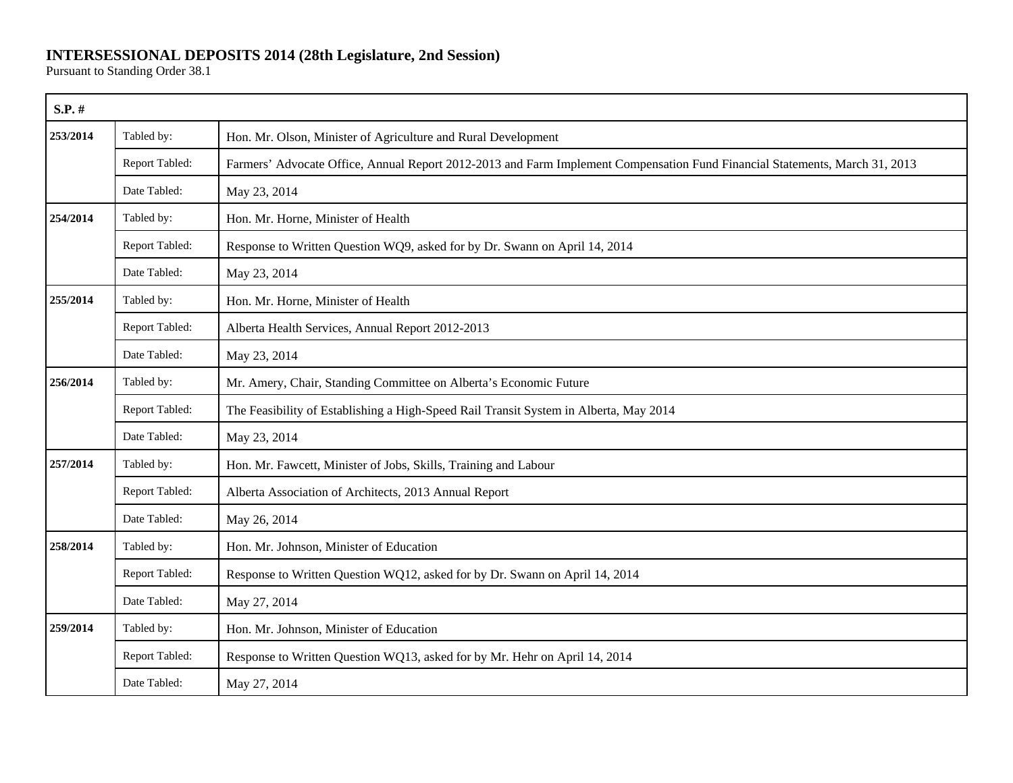## **INTERSESSIONAL DEPOSITS 2014 (28th Legislature, 2nd Session)**

Pursuant to Standing Order 38.1

| S.P. #   |                |                                                                                                                             |
|----------|----------------|-----------------------------------------------------------------------------------------------------------------------------|
| 253/2014 | Tabled by:     | Hon. Mr. Olson, Minister of Agriculture and Rural Development                                                               |
|          | Report Tabled: | Farmers' Advocate Office, Annual Report 2012-2013 and Farm Implement Compensation Fund Financial Statements, March 31, 2013 |
|          | Date Tabled:   | May 23, 2014                                                                                                                |
| 254/2014 | Tabled by:     | Hon. Mr. Horne, Minister of Health                                                                                          |
|          | Report Tabled: | Response to Written Question WQ9, asked for by Dr. Swann on April 14, 2014                                                  |
|          | Date Tabled:   | May 23, 2014                                                                                                                |
| 255/2014 | Tabled by:     | Hon. Mr. Horne, Minister of Health                                                                                          |
|          | Report Tabled: | Alberta Health Services, Annual Report 2012-2013                                                                            |
|          | Date Tabled:   | May 23, 2014                                                                                                                |
| 256/2014 | Tabled by:     | Mr. Amery, Chair, Standing Committee on Alberta's Economic Future                                                           |
|          | Report Tabled: | The Feasibility of Establishing a High-Speed Rail Transit System in Alberta, May 2014                                       |
|          | Date Tabled:   | May 23, 2014                                                                                                                |
| 257/2014 | Tabled by:     | Hon. Mr. Fawcett, Minister of Jobs, Skills, Training and Labour                                                             |
|          | Report Tabled: | Alberta Association of Architects, 2013 Annual Report                                                                       |
|          | Date Tabled:   | May 26, 2014                                                                                                                |
| 258/2014 | Tabled by:     | Hon. Mr. Johnson, Minister of Education                                                                                     |
|          | Report Tabled: | Response to Written Question WQ12, asked for by Dr. Swann on April 14, 2014                                                 |
|          | Date Tabled:   | May 27, 2014                                                                                                                |
| 259/2014 | Tabled by:     | Hon. Mr. Johnson, Minister of Education                                                                                     |
|          | Report Tabled: | Response to Written Question WQ13, asked for by Mr. Hehr on April 14, 2014                                                  |
|          | Date Tabled:   | May 27, 2014                                                                                                                |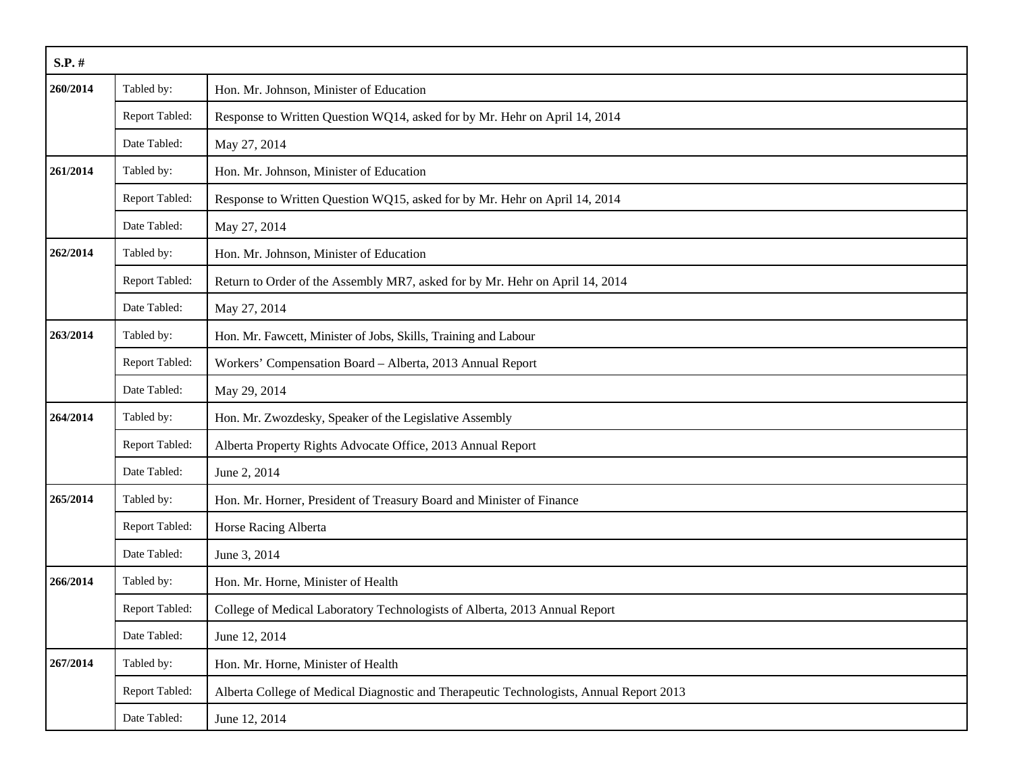| S.P. #   |                       |                                                                                         |
|----------|-----------------------|-----------------------------------------------------------------------------------------|
| 260/2014 | Tabled by:            | Hon. Mr. Johnson, Minister of Education                                                 |
|          | Report Tabled:        | Response to Written Question WQ14, asked for by Mr. Hehr on April 14, 2014              |
|          | Date Tabled:          | May 27, 2014                                                                            |
| 261/2014 | Tabled by:            | Hon. Mr. Johnson, Minister of Education                                                 |
|          | <b>Report Tabled:</b> | Response to Written Question WQ15, asked for by Mr. Hehr on April 14, 2014              |
|          | Date Tabled:          | May 27, 2014                                                                            |
| 262/2014 | Tabled by:            | Hon. Mr. Johnson, Minister of Education                                                 |
|          | Report Tabled:        | Return to Order of the Assembly MR7, asked for by Mr. Hehr on April 14, 2014            |
|          | Date Tabled:          | May 27, 2014                                                                            |
| 263/2014 | Tabled by:            | Hon. Mr. Fawcett, Minister of Jobs, Skills, Training and Labour                         |
|          | Report Tabled:        | Workers' Compensation Board - Alberta, 2013 Annual Report                               |
|          | Date Tabled:          | May 29, 2014                                                                            |
| 264/2014 | Tabled by:            | Hon. Mr. Zwozdesky, Speaker of the Legislative Assembly                                 |
|          | Report Tabled:        | Alberta Property Rights Advocate Office, 2013 Annual Report                             |
|          | Date Tabled:          | June 2, 2014                                                                            |
| 265/2014 | Tabled by:            | Hon. Mr. Horner, President of Treasury Board and Minister of Finance                    |
|          | Report Tabled:        | Horse Racing Alberta                                                                    |
|          | Date Tabled:          | June 3, 2014                                                                            |
| 266/2014 | Tabled by:            | Hon. Mr. Horne, Minister of Health                                                      |
|          | Report Tabled:        | College of Medical Laboratory Technologists of Alberta, 2013 Annual Report              |
|          | Date Tabled:          | June 12, 2014                                                                           |
| 267/2014 | Tabled by:            | Hon. Mr. Horne, Minister of Health                                                      |
|          | Report Tabled:        | Alberta College of Medical Diagnostic and Therapeutic Technologists, Annual Report 2013 |
|          | Date Tabled:          | June 12, 2014                                                                           |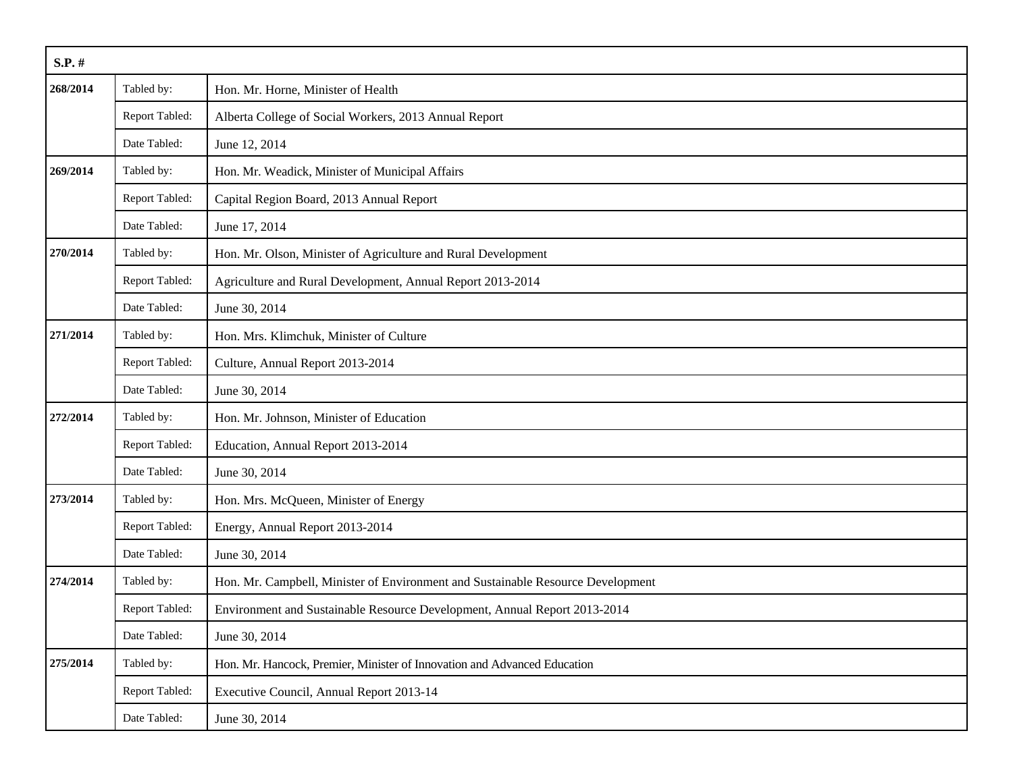| $S.P.$ # |                |                                                                                 |
|----------|----------------|---------------------------------------------------------------------------------|
| 268/2014 | Tabled by:     | Hon. Mr. Horne, Minister of Health                                              |
|          | Report Tabled: | Alberta College of Social Workers, 2013 Annual Report                           |
|          | Date Tabled:   | June 12, 2014                                                                   |
| 269/2014 | Tabled by:     | Hon. Mr. Weadick, Minister of Municipal Affairs                                 |
|          | Report Tabled: | Capital Region Board, 2013 Annual Report                                        |
|          | Date Tabled:   | June 17, 2014                                                                   |
| 270/2014 | Tabled by:     | Hon. Mr. Olson, Minister of Agriculture and Rural Development                   |
|          | Report Tabled: | Agriculture and Rural Development, Annual Report 2013-2014                      |
|          | Date Tabled:   | June 30, 2014                                                                   |
| 271/2014 | Tabled by:     | Hon. Mrs. Klimchuk, Minister of Culture                                         |
|          | Report Tabled: | Culture, Annual Report 2013-2014                                                |
|          | Date Tabled:   | June 30, 2014                                                                   |
| 272/2014 | Tabled by:     | Hon. Mr. Johnson, Minister of Education                                         |
|          | Report Tabled: | Education, Annual Report 2013-2014                                              |
|          | Date Tabled:   | June 30, 2014                                                                   |
| 273/2014 | Tabled by:     | Hon. Mrs. McQueen, Minister of Energy                                           |
|          | Report Tabled: | Energy, Annual Report 2013-2014                                                 |
|          | Date Tabled:   | June 30, 2014                                                                   |
| 274/2014 | Tabled by:     | Hon. Mr. Campbell, Minister of Environment and Sustainable Resource Development |
|          | Report Tabled: | Environment and Sustainable Resource Development, Annual Report 2013-2014       |
|          | Date Tabled:   | June 30, 2014                                                                   |
| 275/2014 | Tabled by:     | Hon. Mr. Hancock, Premier, Minister of Innovation and Advanced Education        |
|          | Report Tabled: | Executive Council, Annual Report 2013-14                                        |
|          | Date Tabled:   | June 30, 2014                                                                   |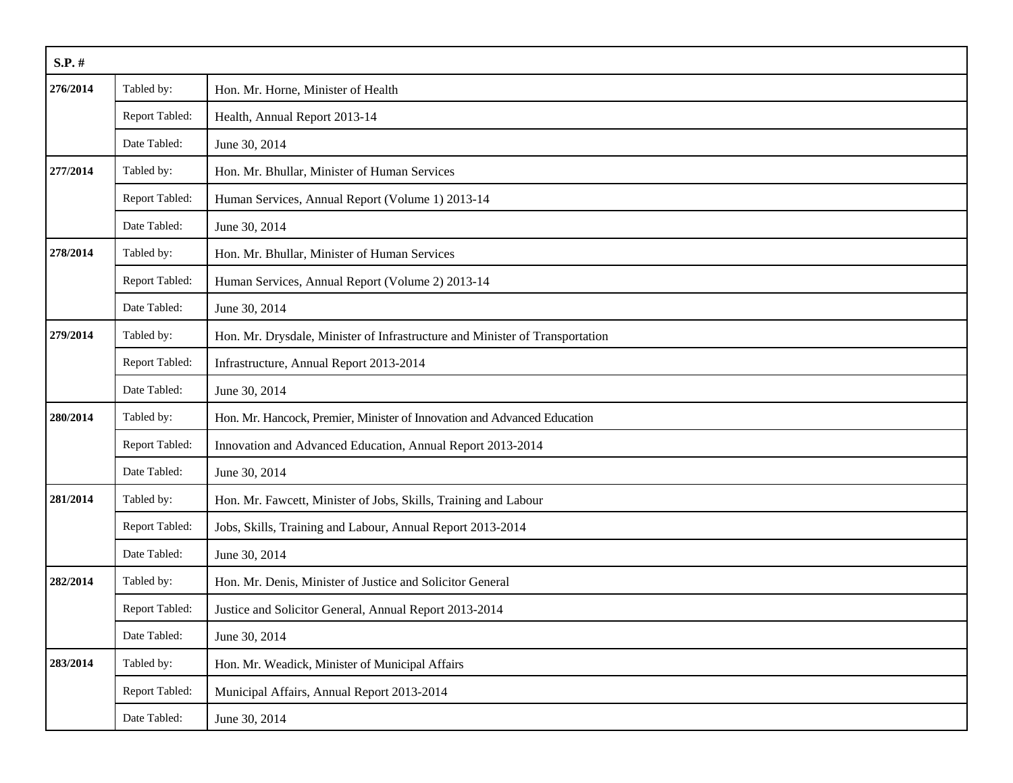| $S.P.$ # |                |                                                                              |
|----------|----------------|------------------------------------------------------------------------------|
| 276/2014 | Tabled by:     | Hon. Mr. Horne, Minister of Health                                           |
|          | Report Tabled: | Health, Annual Report 2013-14                                                |
|          | Date Tabled:   | June 30, 2014                                                                |
| 277/2014 | Tabled by:     | Hon. Mr. Bhullar, Minister of Human Services                                 |
|          | Report Tabled: | Human Services, Annual Report (Volume 1) 2013-14                             |
|          | Date Tabled:   | June 30, 2014                                                                |
| 278/2014 | Tabled by:     | Hon. Mr. Bhullar, Minister of Human Services                                 |
|          | Report Tabled: | Human Services, Annual Report (Volume 2) 2013-14                             |
|          | Date Tabled:   | June 30, 2014                                                                |
| 279/2014 | Tabled by:     | Hon. Mr. Drysdale, Minister of Infrastructure and Minister of Transportation |
|          | Report Tabled: | Infrastructure, Annual Report 2013-2014                                      |
|          | Date Tabled:   | June 30, 2014                                                                |
| 280/2014 | Tabled by:     | Hon. Mr. Hancock, Premier, Minister of Innovation and Advanced Education     |
|          | Report Tabled: | Innovation and Advanced Education, Annual Report 2013-2014                   |
|          | Date Tabled:   | June 30, 2014                                                                |
| 281/2014 | Tabled by:     | Hon. Mr. Fawcett, Minister of Jobs, Skills, Training and Labour              |
|          | Report Tabled: | Jobs, Skills, Training and Labour, Annual Report 2013-2014                   |
|          | Date Tabled:   | June 30, 2014                                                                |
| 282/2014 | Tabled by:     | Hon. Mr. Denis, Minister of Justice and Solicitor General                    |
|          | Report Tabled: | Justice and Solicitor General, Annual Report 2013-2014                       |
|          | Date Tabled:   | June 30, 2014                                                                |
| 283/2014 | Tabled by:     | Hon. Mr. Weadick, Minister of Municipal Affairs                              |
|          | Report Tabled: | Municipal Affairs, Annual Report 2013-2014                                   |
|          | Date Tabled:   | June 30, 2014                                                                |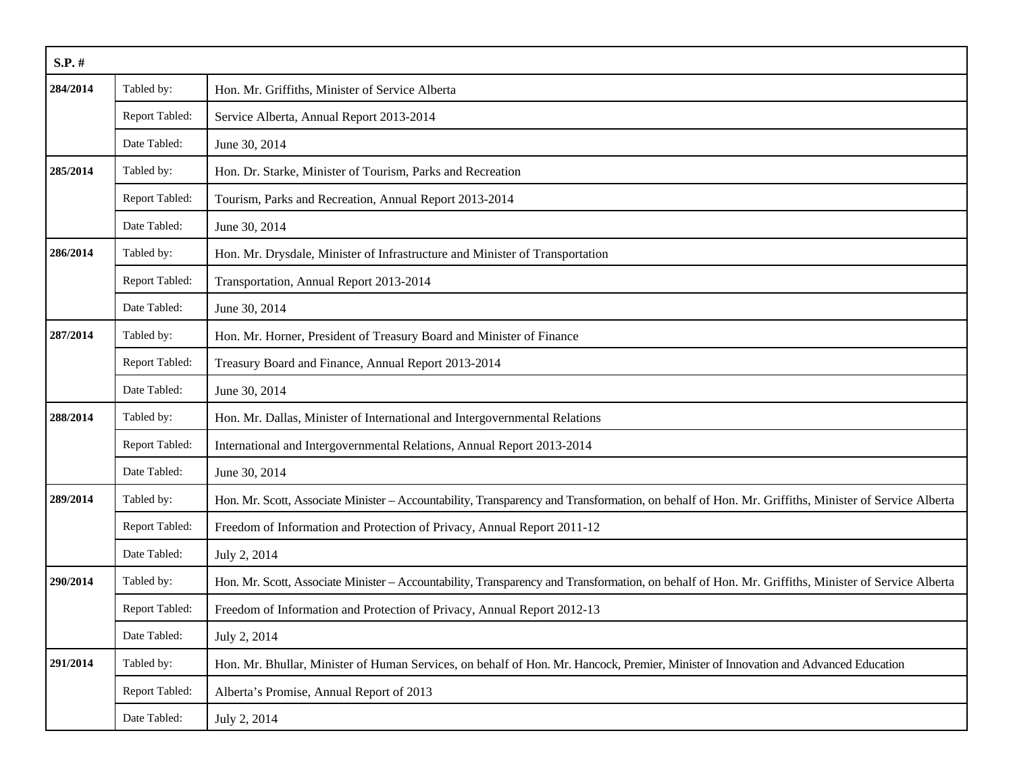| $S.P.$ # |                |                                                                                                                                                    |
|----------|----------------|----------------------------------------------------------------------------------------------------------------------------------------------------|
| 284/2014 | Tabled by:     | Hon. Mr. Griffiths, Minister of Service Alberta                                                                                                    |
|          | Report Tabled: | Service Alberta, Annual Report 2013-2014                                                                                                           |
|          | Date Tabled:   | June 30, 2014                                                                                                                                      |
| 285/2014 | Tabled by:     | Hon. Dr. Starke, Minister of Tourism, Parks and Recreation                                                                                         |
|          | Report Tabled: | Tourism, Parks and Recreation, Annual Report 2013-2014                                                                                             |
|          | Date Tabled:   | June 30, 2014                                                                                                                                      |
| 286/2014 | Tabled by:     | Hon. Mr. Drysdale, Minister of Infrastructure and Minister of Transportation                                                                       |
|          | Report Tabled: | Transportation, Annual Report 2013-2014                                                                                                            |
|          | Date Tabled:   | June 30, 2014                                                                                                                                      |
| 287/2014 | Tabled by:     | Hon. Mr. Horner, President of Treasury Board and Minister of Finance                                                                               |
|          | Report Tabled: | Treasury Board and Finance, Annual Report 2013-2014                                                                                                |
|          | Date Tabled:   | June 30, 2014                                                                                                                                      |
| 288/2014 | Tabled by:     | Hon. Mr. Dallas, Minister of International and Intergovernmental Relations                                                                         |
|          | Report Tabled: | International and Intergovernmental Relations, Annual Report 2013-2014                                                                             |
|          | Date Tabled:   | June 30, 2014                                                                                                                                      |
| 289/2014 | Tabled by:     | Hon. Mr. Scott, Associate Minister - Accountability, Transparency and Transformation, on behalf of Hon. Mr. Griffiths, Minister of Service Alberta |
|          | Report Tabled: | Freedom of Information and Protection of Privacy, Annual Report 2011-12                                                                            |
|          | Date Tabled:   | July 2, 2014                                                                                                                                       |
| 290/2014 | Tabled by:     | Hon. Mr. Scott, Associate Minister - Accountability, Transparency and Transformation, on behalf of Hon. Mr. Griffiths, Minister of Service Alberta |
|          | Report Tabled: | Freedom of Information and Protection of Privacy, Annual Report 2012-13                                                                            |
|          | Date Tabled:   | July 2, 2014                                                                                                                                       |
| 291/2014 | Tabled by:     | Hon. Mr. Bhullar, Minister of Human Services, on behalf of Hon. Mr. Hancock, Premier, Minister of Innovation and Advanced Education                |
|          | Report Tabled: | Alberta's Promise, Annual Report of 2013                                                                                                           |
|          | Date Tabled:   | July 2, 2014                                                                                                                                       |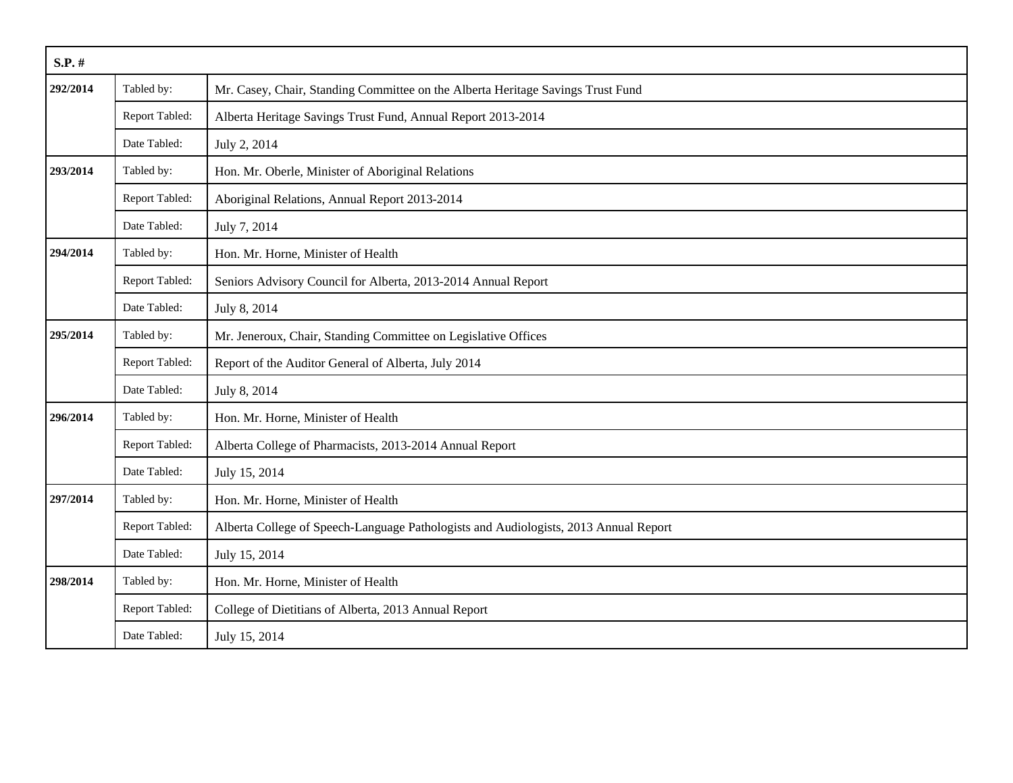| $S.P.$ # |                |                                                                                      |
|----------|----------------|--------------------------------------------------------------------------------------|
| 292/2014 | Tabled by:     | Mr. Casey, Chair, Standing Committee on the Alberta Heritage Savings Trust Fund      |
|          | Report Tabled: | Alberta Heritage Savings Trust Fund, Annual Report 2013-2014                         |
|          | Date Tabled:   | July 2, 2014                                                                         |
| 293/2014 | Tabled by:     | Hon. Mr. Oberle, Minister of Aboriginal Relations                                    |
|          | Report Tabled: | Aboriginal Relations, Annual Report 2013-2014                                        |
|          | Date Tabled:   | July 7, 2014                                                                         |
| 294/2014 | Tabled by:     | Hon. Mr. Horne, Minister of Health                                                   |
|          | Report Tabled: | Seniors Advisory Council for Alberta, 2013-2014 Annual Report                        |
|          | Date Tabled:   | July 8, 2014                                                                         |
| 295/2014 | Tabled by:     | Mr. Jeneroux, Chair, Standing Committee on Legislative Offices                       |
|          | Report Tabled: | Report of the Auditor General of Alberta, July 2014                                  |
|          | Date Tabled:   | July 8, 2014                                                                         |
| 296/2014 | Tabled by:     | Hon. Mr. Horne, Minister of Health                                                   |
|          | Report Tabled: | Alberta College of Pharmacists, 2013-2014 Annual Report                              |
|          | Date Tabled:   | July 15, 2014                                                                        |
| 297/2014 | Tabled by:     | Hon. Mr. Horne, Minister of Health                                                   |
|          | Report Tabled: | Alberta College of Speech-Language Pathologists and Audiologists, 2013 Annual Report |
|          | Date Tabled:   | July 15, 2014                                                                        |
| 298/2014 | Tabled by:     | Hon. Mr. Horne, Minister of Health                                                   |
|          | Report Tabled: | College of Dietitians of Alberta, 2013 Annual Report                                 |
|          | Date Tabled:   | July 15, 2014                                                                        |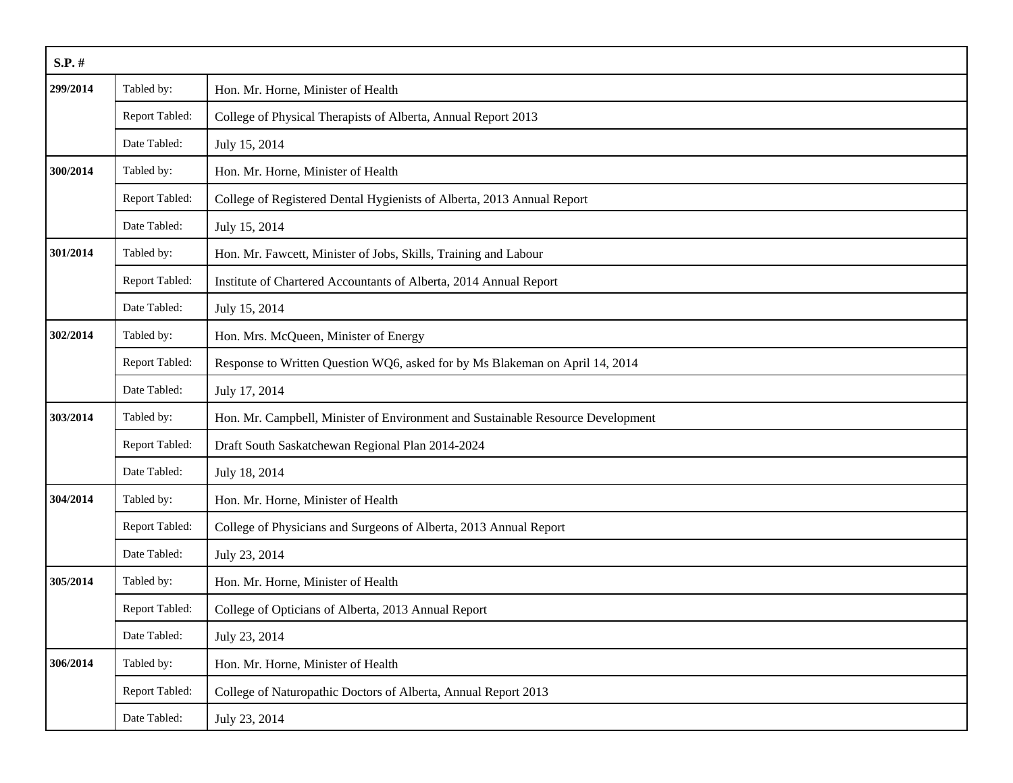| $S.P.$ # |                |                                                                                 |  |
|----------|----------------|---------------------------------------------------------------------------------|--|
| 299/2014 | Tabled by:     | Hon. Mr. Horne, Minister of Health                                              |  |
|          | Report Tabled: | College of Physical Therapists of Alberta, Annual Report 2013                   |  |
|          | Date Tabled:   | July 15, 2014                                                                   |  |
| 300/2014 | Tabled by:     | Hon. Mr. Horne, Minister of Health                                              |  |
|          | Report Tabled: | College of Registered Dental Hygienists of Alberta, 2013 Annual Report          |  |
|          | Date Tabled:   | July 15, 2014                                                                   |  |
| 301/2014 | Tabled by:     | Hon. Mr. Fawcett, Minister of Jobs, Skills, Training and Labour                 |  |
|          | Report Tabled: | Institute of Chartered Accountants of Alberta, 2014 Annual Report               |  |
|          | Date Tabled:   | July 15, 2014                                                                   |  |
| 302/2014 | Tabled by:     | Hon. Mrs. McQueen, Minister of Energy                                           |  |
|          | Report Tabled: | Response to Written Question WQ6, asked for by Ms Blakeman on April 14, 2014    |  |
|          | Date Tabled:   | July 17, 2014                                                                   |  |
| 303/2014 | Tabled by:     | Hon. Mr. Campbell, Minister of Environment and Sustainable Resource Development |  |
|          | Report Tabled: | Draft South Saskatchewan Regional Plan 2014-2024                                |  |
|          | Date Tabled:   | July 18, 2014                                                                   |  |
| 304/2014 | Tabled by:     | Hon. Mr. Horne, Minister of Health                                              |  |
|          | Report Tabled: | College of Physicians and Surgeons of Alberta, 2013 Annual Report               |  |
|          | Date Tabled:   | July 23, 2014                                                                   |  |
| 305/2014 | Tabled by:     | Hon. Mr. Horne, Minister of Health                                              |  |
|          | Report Tabled: | College of Opticians of Alberta, 2013 Annual Report                             |  |
|          | Date Tabled:   | July 23, 2014                                                                   |  |
| 306/2014 | Tabled by:     | Hon. Mr. Horne, Minister of Health                                              |  |
|          | Report Tabled: | College of Naturopathic Doctors of Alberta, Annual Report 2013                  |  |
|          | Date Tabled:   | July 23, 2014                                                                   |  |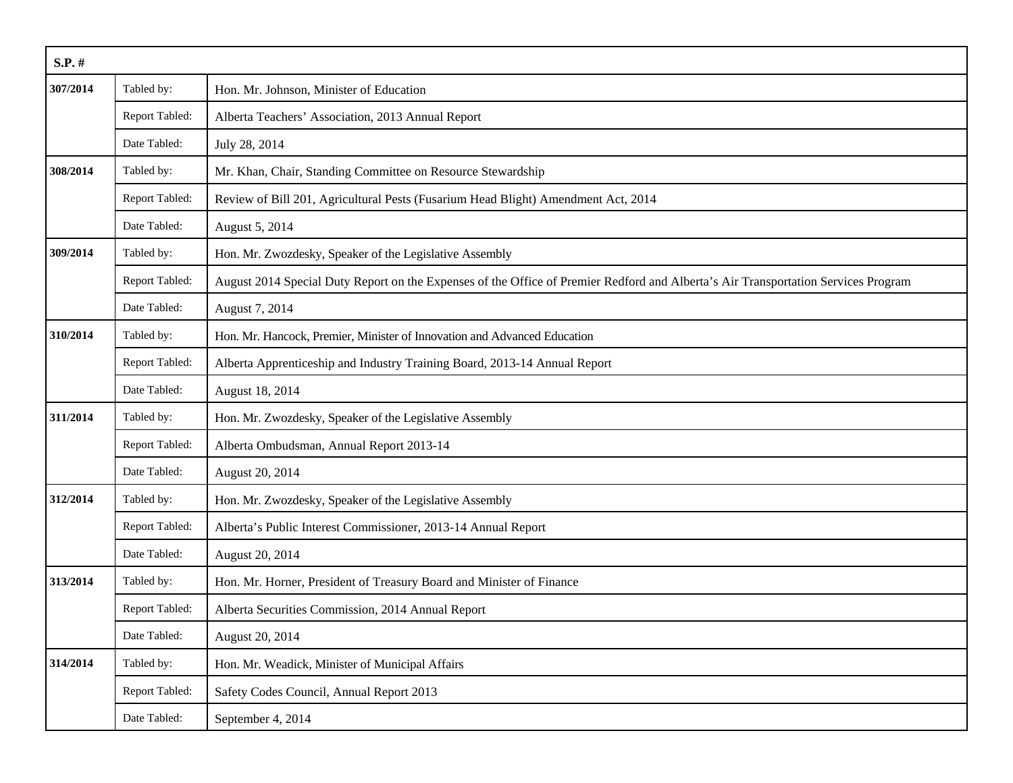| $S.P.$ # |                |                                                                                                                                    |
|----------|----------------|------------------------------------------------------------------------------------------------------------------------------------|
| 307/2014 | Tabled by:     | Hon. Mr. Johnson, Minister of Education                                                                                            |
|          | Report Tabled: | Alberta Teachers' Association, 2013 Annual Report                                                                                  |
|          | Date Tabled:   | July 28, 2014                                                                                                                      |
| 308/2014 | Tabled by:     | Mr. Khan, Chair, Standing Committee on Resource Stewardship                                                                        |
|          | Report Tabled: | Review of Bill 201, Agricultural Pests (Fusarium Head Blight) Amendment Act, 2014                                                  |
|          | Date Tabled:   | August 5, 2014                                                                                                                     |
| 309/2014 | Tabled by:     | Hon. Mr. Zwozdesky, Speaker of the Legislative Assembly                                                                            |
|          | Report Tabled: | August 2014 Special Duty Report on the Expenses of the Office of Premier Redford and Alberta's Air Transportation Services Program |
|          | Date Tabled:   | August 7, 2014                                                                                                                     |
| 310/2014 | Tabled by:     | Hon. Mr. Hancock, Premier, Minister of Innovation and Advanced Education                                                           |
|          | Report Tabled: | Alberta Apprenticeship and Industry Training Board, 2013-14 Annual Report                                                          |
|          | Date Tabled:   | August 18, 2014                                                                                                                    |
| 311/2014 | Tabled by:     | Hon. Mr. Zwozdesky, Speaker of the Legislative Assembly                                                                            |
|          | Report Tabled: | Alberta Ombudsman, Annual Report 2013-14                                                                                           |
|          | Date Tabled:   | August 20, 2014                                                                                                                    |
| 312/2014 | Tabled by:     | Hon. Mr. Zwozdesky, Speaker of the Legislative Assembly                                                                            |
|          | Report Tabled: | Alberta's Public Interest Commissioner, 2013-14 Annual Report                                                                      |
|          | Date Tabled:   | August 20, 2014                                                                                                                    |
| 313/2014 | Tabled by:     | Hon. Mr. Horner, President of Treasury Board and Minister of Finance                                                               |
|          | Report Tabled: | Alberta Securities Commission, 2014 Annual Report                                                                                  |
|          | Date Tabled:   | August 20, 2014                                                                                                                    |
| 314/2014 | Tabled by:     | Hon. Mr. Weadick, Minister of Municipal Affairs                                                                                    |
|          | Report Tabled: | Safety Codes Council, Annual Report 2013                                                                                           |
|          | Date Tabled:   | September 4, 2014                                                                                                                  |